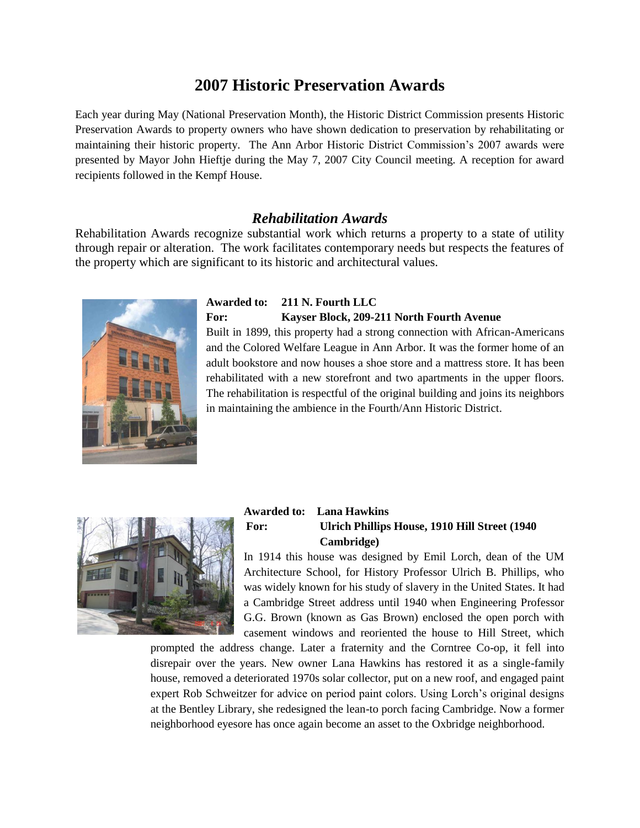# **2007 Historic Preservation Awards**

Each year during May (National Preservation Month), the Historic District Commission presents Historic Preservation Awards to property owners who have shown dedication to preservation by rehabilitating or maintaining their historic property. The Ann Arbor Historic District Commission's 2007 awards were presented by Mayor John Hieftje during the May 7, 2007 City Council meeting. A reception for award recipients followed in the Kempf House.

#### *Rehabilitation Awards*

Rehabilitation Awards recognize substantial work which returns a property to a state of utility through repair or alteration. The work facilitates contemporary needs but respects the features of the property which are significant to its historic and architectural values.



# **Awarded to: 211 N. Fourth LLC For: Kayser Block, 209-211 North Fourth Avenue**  Built in 1899, this property had a strong connection with African-Americans

and the Colored Welfare League in Ann Arbor. It was the former home of an adult bookstore and now houses a shoe store and a mattress store. It has been rehabilitated with a new storefront and two apartments in the upper floors. The rehabilitation is respectful of the original building and joins its neighbors in maintaining the ambience in the Fourth/Ann Historic District.



#### **Awarded to: Lana Hawkins For: Ulrich Phillips House, 1910 Hill Street (1940 Cambridge)**

In 1914 this house was designed by Emil Lorch, dean of the UM Architecture School, for History Professor Ulrich B. Phillips, who was widely known for his study of slavery in the United States. It had a Cambridge Street address until 1940 when Engineering Professor G.G. Brown (known as Gas Brown) enclosed the open porch with casement windows and reoriented the house to Hill Street, which

prompted the address change. Later a fraternity and the Corntree Co-op, it fell into disrepair over the years. New owner Lana Hawkins has restored it as a single-family house, removed a deteriorated 1970s solar collector, put on a new roof, and engaged paint expert Rob Schweitzer for advice on period paint colors. Using Lorch's original designs at the Bentley Library, she redesigned the lean-to porch facing Cambridge. Now a former neighborhood eyesore has once again become an asset to the Oxbridge neighborhood.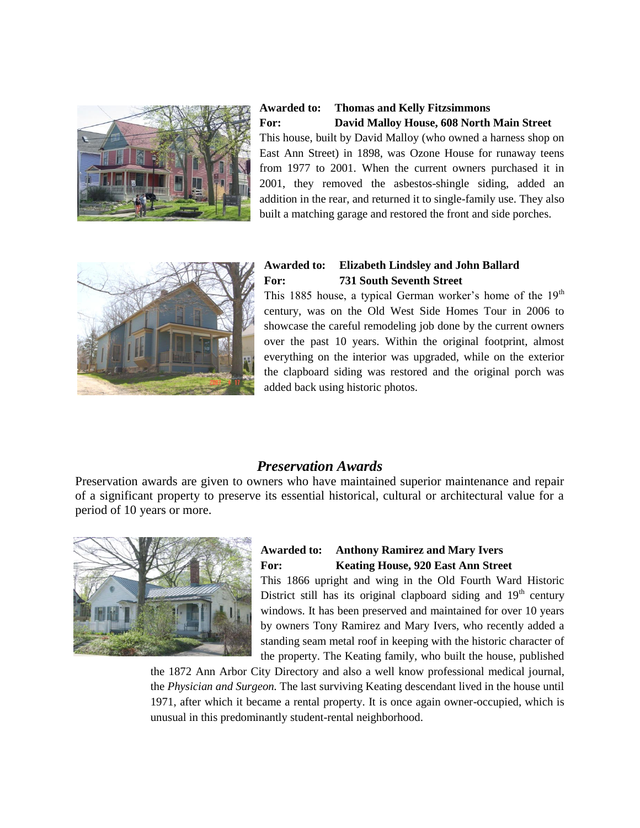

**Awarded to: Thomas and Kelly Fitzsimmons For: David Malloy House, 608 North Main Street** This house, built by David Malloy (who owned a harness shop on East Ann Street) in 1898, was Ozone House for runaway teens from 1977 to 2001. When the current owners purchased it in 2001, they removed the asbestos-shingle siding, added an

addition in the rear, and returned it to single-family use. They also built a matching garage and restored the front and side porches.



#### **Awarded to: Elizabeth Lindsley and John Ballard For: 731 South Seventh Street**

This 1885 house, a typical German worker's home of the  $19<sup>th</sup>$ century, was on the Old West Side Homes Tour in 2006 to showcase the careful remodeling job done by the current owners over the past 10 years. Within the original footprint, almost everything on the interior was upgraded, while on the exterior the clapboard siding was restored and the original porch was added back using historic photos.

# *Preservation Awards*

Preservation awards are given to owners who have maintained superior maintenance and repair of a significant property to preserve its essential historical, cultural or architectural value for a period of 10 years or more.



#### **Awarded to: Anthony Ramirez and Mary Ivers For: Keating House, 920 East Ann Street**

This 1866 upright and wing in the Old Fourth Ward Historic District still has its original clapboard siding and  $19<sup>th</sup>$  century windows. It has been preserved and maintained for over 10 years by owners Tony Ramirez and Mary Ivers, who recently added a standing seam metal roof in keeping with the historic character of the property. The Keating family, who built the house, published

the 1872 Ann Arbor City Directory and also a well know professional medical journal, the *Physician and Surgeon.* The last surviving Keating descendant lived in the house until 1971, after which it became a rental property. It is once again owner-occupied, which is unusual in this predominantly student-rental neighborhood.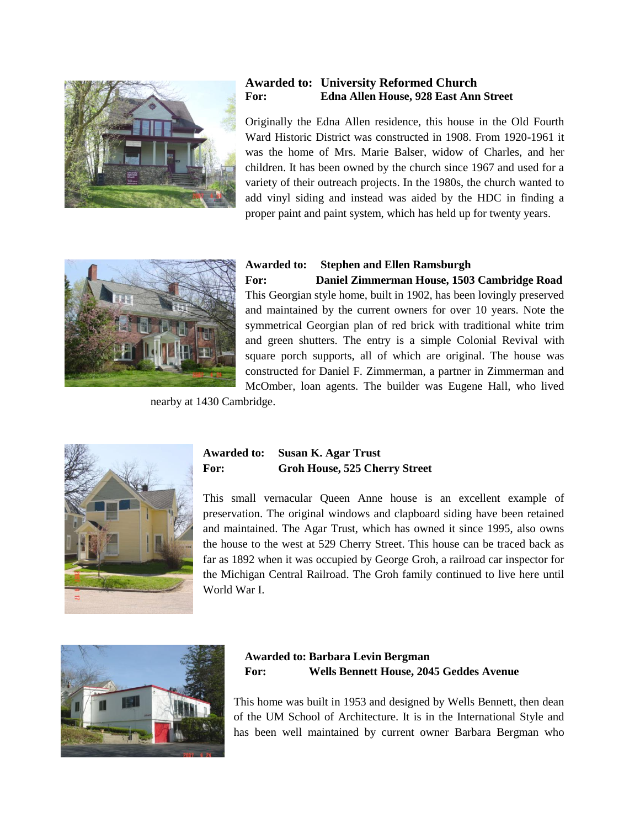

#### **Awarded to: University Reformed Church For: Edna Allen House, 928 East Ann Street**

Originally the Edna Allen residence, this house in the Old Fourth Ward Historic District was constructed in 1908. From 1920-1961 it was the home of Mrs. Marie Balser, widow of Charles, and her children. It has been owned by the church since 1967 and used for a variety of their outreach projects. In the 1980s, the church wanted to add vinyl siding and instead was aided by the HDC in finding a proper paint and paint system, which has held up for twenty years.



# **Awarded to: Stephen and Ellen Ramsburgh**

**For: Daniel Zimmerman House, 1503 Cambridge Road** This Georgian style home, built in 1902, has been lovingly preserved and maintained by the current owners for over 10 years. Note the symmetrical Georgian plan of red brick with traditional white trim and green shutters. The entry is a simple Colonial Revival with square porch supports, all of which are original. The house was constructed for Daniel F. Zimmerman, a partner in Zimmerman and McOmber, loan agents. The builder was Eugene Hall, who lived

nearby at 1430 Cambridge.



#### **Awarded to: Susan K. Agar Trust For: Groh House, 525 Cherry Street**

This small vernacular Queen Anne house is an excellent example of preservation. The original windows and clapboard siding have been retained and maintained. The Agar Trust, which has owned it since 1995, also owns the house to the west at 529 Cherry Street. This house can be traced back as far as 1892 when it was occupied by George Groh, a railroad car inspector for the Michigan Central Railroad. The Groh family continued to live here until World War I.



#### **Awarded to: Barbara Levin Bergman For: Wells Bennett House, 2045 Geddes Avenue**

This home was built in 1953 and designed by Wells Bennett, then dean of the UM School of Architecture. It is in the International Style and has been well maintained by current owner Barbara Bergman who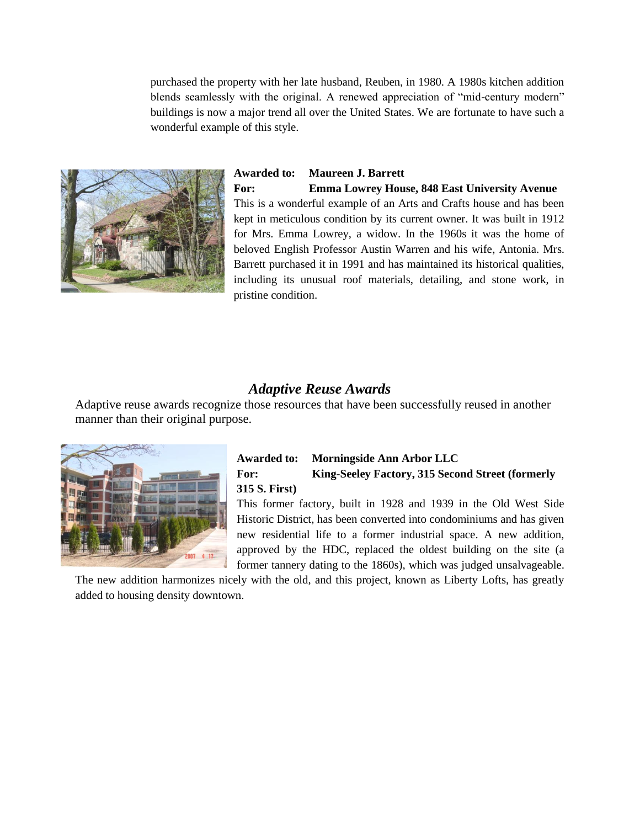purchased the property with her late husband, Reuben, in 1980. A 1980s kitchen addition blends seamlessly with the original. A renewed appreciation of "mid-century modern" buildings is now a major trend all over the United States. We are fortunate to have such a wonderful example of this style.



**Awarded to: Maureen J. Barrett For: Emma Lowrey House, 848 East University Avenue** This is a wonderful example of an Arts and Crafts house and has been kept in meticulous condition by its current owner. It was built in 1912 for Mrs. Emma Lowrey, a widow. In the 1960s it was the home of beloved English Professor Austin Warren and his wife, Antonia. Mrs. Barrett purchased it in 1991 and has maintained its historical qualities, including its unusual roof materials, detailing, and stone work, in pristine condition.

### *Adaptive Reuse Awards*

Adaptive reuse awards recognize those resources that have been successfully reused in another manner than their original purpose.



#### **Awarded to: Morningside Ann Arbor LLC For: King-Seeley Factory, 315 Second Street (formerly 315 S. First)**

This former factory, built in 1928 and 1939 in the Old West Side Historic District, has been converted into condominiums and has given new residential life to a former industrial space. A new addition, approved by the HDC, replaced the oldest building on the site (a former tannery dating to the 1860s), which was judged unsalvageable.

The new addition harmonizes nicely with the old, and this project, known as Liberty Lofts, has greatly added to housing density downtown.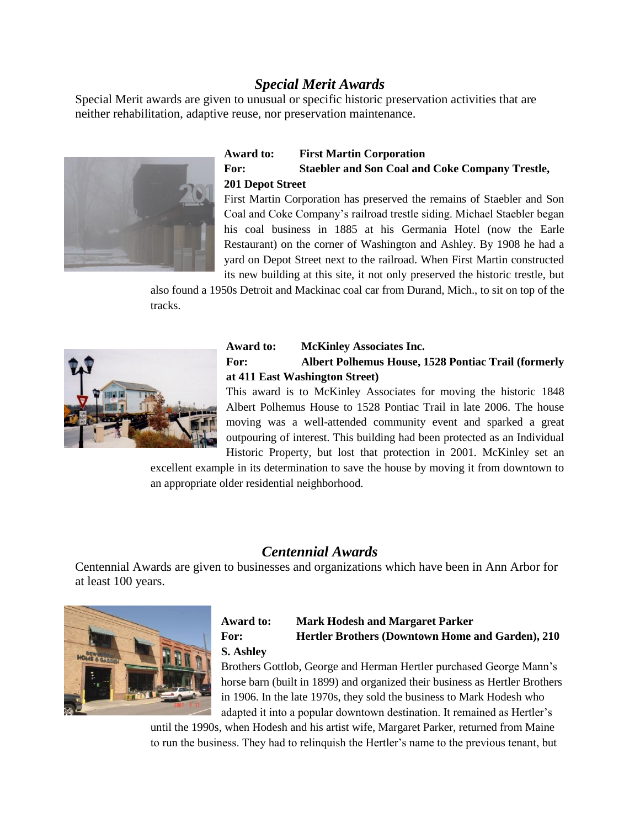# *Special Merit Awards*

Special Merit awards are given to unusual or specific historic preservation activities that are neither rehabilitation, adaptive reuse, nor preservation maintenance.



#### **Award to: First Martin Corporation For: Staebler and Son Coal and Coke Company Trestle, 201 Depot Street**

First Martin Corporation has preserved the remains of Staebler and Son Coal and Coke Company's railroad trestle siding. Michael Staebler began his coal business in 1885 at his Germania Hotel (now the Earle Restaurant) on the corner of Washington and Ashley. By 1908 he had a yard on Depot Street next to the railroad. When First Martin constructed its new building at this site, it not only preserved the historic trestle, but

also found a 1950s Detroit and Mackinac coal car from Durand, Mich., to sit on top of the tracks.



#### **Award to: McKinley Associates Inc. For: Albert Polhemus House, 1528 Pontiac Trail (formerly at 411 East Washington Street)**

This award is to McKinley Associates for moving the historic 1848 Albert Polhemus House to 1528 Pontiac Trail in late 2006. The house moving was a well-attended community event and sparked a great outpouring of interest. This building had been protected as an Individual Historic Property, but lost that protection in 2001. McKinley set an

excellent example in its determination to save the house by moving it from downtown to an appropriate older residential neighborhood.

# *Centennial Awards*

Centennial Awards are given to businesses and organizations which have been in Ann Arbor for at least 100 years.



#### **Award to: Mark Hodesh and Margaret Parker For: Hertler Brothers (Downtown Home and Garden), 210 S. Ashley**

Brothers Gottlob, George and Herman Hertler purchased George Mann's horse barn (built in 1899) and organized their business as Hertler Brothers in 1906. In the late 1970s, they sold the business to Mark Hodesh who adapted it into a popular downtown destination. It remained as Hertler's

until the 1990s, when Hodesh and his artist wife, Margaret Parker, returned from Maine to run the business. They had to relinquish the Hertler's name to the previous tenant, but